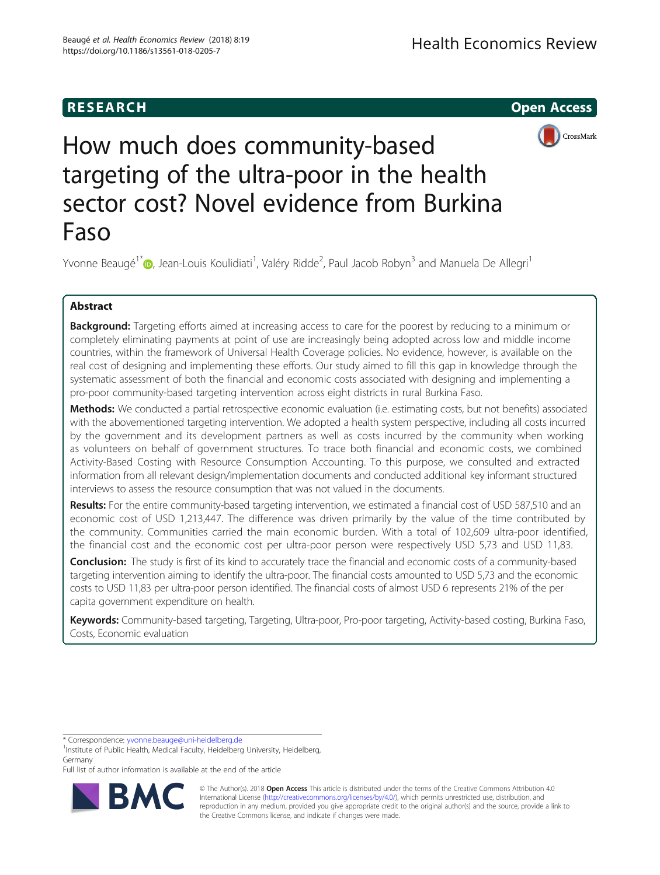# **RESEARCH CHEAR CHEAR CHEAR CHEAR CHEAR CHEAR CHEAR CHEAR CHEAR CHEAR CHEAR CHEAR CHEAR CHEAR CHEAR CHEAR CHEAR**



# How much does community-based targeting of the ultra-poor in the health sector cost? Novel evidence from Burkina Faso

Yvonne Beaugé<sup>1[\\*](http://orcid.org/0000-0002-9658-2417)</sup>�, Jean-Louis Koulidiati<sup>1</sup>, Valéry Ridde<sup>2</sup>, Paul Jacob Robyn<sup>3</sup> and Manuela De Allegri<sup>1</sup>

# Abstract

**Background:** Targeting efforts aimed at increasing access to care for the poorest by reducing to a minimum or completely eliminating payments at point of use are increasingly being adopted across low and middle income countries, within the framework of Universal Health Coverage policies. No evidence, however, is available on the real cost of designing and implementing these efforts. Our study aimed to fill this gap in knowledge through the systematic assessment of both the financial and economic costs associated with designing and implementing a pro-poor community-based targeting intervention across eight districts in rural Burkina Faso.

Methods: We conducted a partial retrospective economic evaluation (i.e. estimating costs, but not benefits) associated with the abovementioned targeting intervention. We adopted a health system perspective, including all costs incurred by the government and its development partners as well as costs incurred by the community when working as volunteers on behalf of government structures. To trace both financial and economic costs, we combined Activity-Based Costing with Resource Consumption Accounting. To this purpose, we consulted and extracted information from all relevant design/implementation documents and conducted additional key informant structured interviews to assess the resource consumption that was not valued in the documents.

Results: For the entire community-based targeting intervention, we estimated a financial cost of USD 587,510 and an economic cost of USD 1,213,447. The difference was driven primarily by the value of the time contributed by the community. Communities carried the main economic burden. With a total of 102,609 ultra-poor identified, the financial cost and the economic cost per ultra-poor person were respectively USD 5,73 and USD 11,83.

Conclusion: The study is first of its kind to accurately trace the financial and economic costs of a community-based targeting intervention aiming to identify the ultra-poor. The financial costs amounted to USD 5,73 and the economic costs to USD 11,83 per ultra-poor person identified. The financial costs of almost USD 6 represents 21% of the per capita government expenditure on health.

Keywords: Community-based targeting, Targeting, Ultra-poor, Pro-poor targeting, Activity-based costing, Burkina Faso, Costs, Economic evaluation

\* Correspondence: [yvonne.beauge@uni-heidelberg.de](mailto:yvonne.beauge@uni-heidelberg.de) <sup>1</sup>

<sup>1</sup>Institute of Public Health, Medical Faculty, Heidelberg University, Heidelberg, Germany

Full list of author information is available at the end of the article



© The Author(s). 2018 Open Access This article is distributed under the terms of the Creative Commons Attribution 4.0 International License [\(http://creativecommons.org/licenses/by/4.0/](http://creativecommons.org/licenses/by/4.0/)), which permits unrestricted use, distribution, and reproduction in any medium, provided you give appropriate credit to the original author(s) and the source, provide a link to the Creative Commons license, and indicate if changes were made.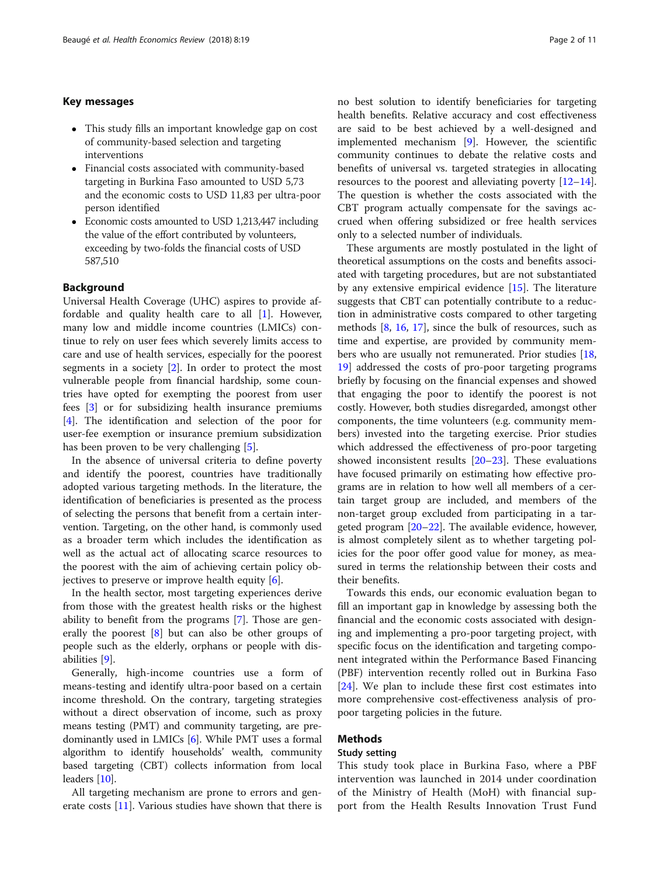### Key messages

- This study fills an important knowledge gap on cost of community-based selection and targeting interventions
- Financial costs associated with community-based targeting in Burkina Faso amounted to USD 5,73 and the economic costs to USD 11,83 per ultra-poor person identified
- Economic costs amounted to USD 1,213,447 including the value of the effort contributed by volunteers, exceeding by two-folds the financial costs of USD 587,510

#### Background

Universal Health Coverage (UHC) aspires to provide affordable and quality health care to all [\[1](#page-10-0)]. However, many low and middle income countries (LMICs) continue to rely on user fees which severely limits access to care and use of health services, especially for the poorest segments in a society [\[2](#page-10-0)]. In order to protect the most vulnerable people from financial hardship, some countries have opted for exempting the poorest from user fees [\[3](#page-10-0)] or for subsidizing health insurance premiums [[4\]](#page-10-0). The identification and selection of the poor for user-fee exemption or insurance premium subsidization has been proven to be very challenging [[5\]](#page-10-0).

In the absence of universal criteria to define poverty and identify the poorest, countries have traditionally adopted various targeting methods. In the literature, the identification of beneficiaries is presented as the process of selecting the persons that benefit from a certain intervention. Targeting, on the other hand, is commonly used as a broader term which includes the identification as well as the actual act of allocating scarce resources to the poorest with the aim of achieving certain policy objectives to preserve or improve health equity  $[6]$  $[6]$ .

In the health sector, most targeting experiences derive from those with the greatest health risks or the highest ability to benefit from the programs [[7\]](#page-10-0). Those are generally the poorest [\[8](#page-10-0)] but can also be other groups of people such as the elderly, orphans or people with disabilities [[9\]](#page-10-0).

Generally, high-income countries use a form of means-testing and identify ultra-poor based on a certain income threshold. On the contrary, targeting strategies without a direct observation of income, such as proxy means testing (PMT) and community targeting, are predominantly used in LMICs [\[6\]](#page-10-0). While PMT uses a formal algorithm to identify households' wealth, community based targeting (CBT) collects information from local leaders [\[10\]](#page-10-0).

All targeting mechanism are prone to errors and generate costs  $[11]$  $[11]$ . Various studies have shown that there is no best solution to identify beneficiaries for targeting health benefits. Relative accuracy and cost effectiveness are said to be best achieved by a well-designed and implemented mechanism [[9](#page-10-0)]. However, the scientific community continues to debate the relative costs and benefits of universal vs. targeted strategies in allocating resources to the poorest and alleviating poverty [[12](#page-10-0)–[14](#page-10-0)]. The question is whether the costs associated with the CBT program actually compensate for the savings accrued when offering subsidized or free health services only to a selected number of individuals.

These arguments are mostly postulated in the light of theoretical assumptions on the costs and benefits associated with targeting procedures, but are not substantiated by any extensive empirical evidence [\[15\]](#page-10-0). The literature suggests that CBT can potentially contribute to a reduction in administrative costs compared to other targeting methods [\[8](#page-10-0), [16,](#page-10-0) [17](#page-10-0)], since the bulk of resources, such as time and expertise, are provided by community mem-bers who are usually not remunerated. Prior studies [[18](#page-10-0), [19\]](#page-10-0) addressed the costs of pro-poor targeting programs briefly by focusing on the financial expenses and showed that engaging the poor to identify the poorest is not costly. However, both studies disregarded, amongst other components, the time volunteers (e.g. community members) invested into the targeting exercise. Prior studies which addressed the effectiveness of pro-poor targeting showed inconsistent results [\[20](#page-10-0)–[23\]](#page-10-0). These evaluations have focused primarily on estimating how effective programs are in relation to how well all members of a certain target group are included, and members of the non-target group excluded from participating in a targeted program [[20](#page-10-0)–[22\]](#page-10-0). The available evidence, however, is almost completely silent as to whether targeting policies for the poor offer good value for money, as measured in terms the relationship between their costs and their benefits.

Towards this ends, our economic evaluation began to fill an important gap in knowledge by assessing both the financial and the economic costs associated with designing and implementing a pro-poor targeting project, with specific focus on the identification and targeting component integrated within the Performance Based Financing (PBF) intervention recently rolled out in Burkina Faso [[24\]](#page-10-0). We plan to include these first cost estimates into more comprehensive cost-effectiveness analysis of propoor targeting policies in the future.

#### Methods

# Study setting

This study took place in Burkina Faso, where a PBF intervention was launched in 2014 under coordination of the Ministry of Health (MoH) with financial support from the Health Results Innovation Trust Fund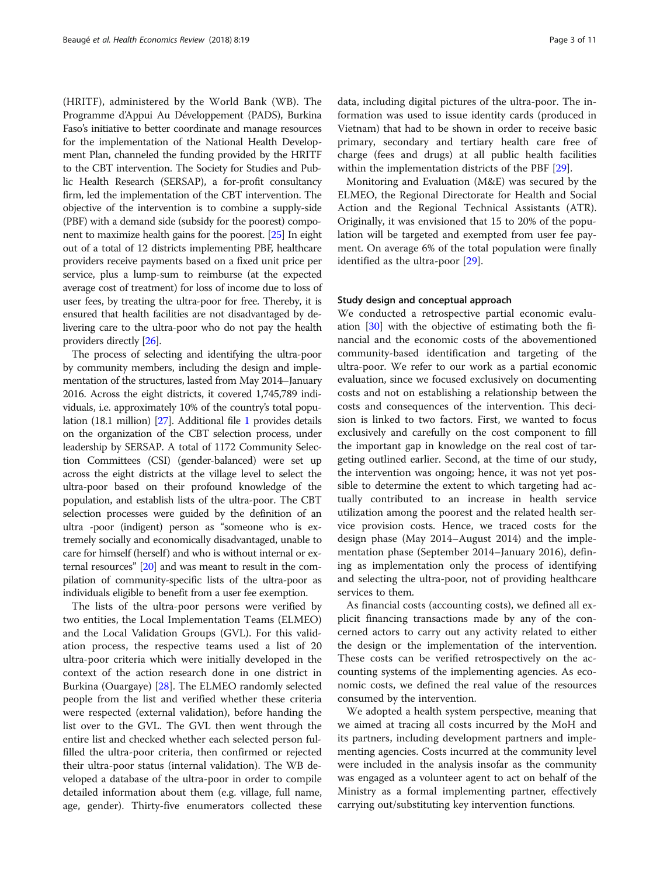(HRITF), administered by the World Bank (WB). The Programme d'Appui Au Développement (PADS), Burkina Faso's initiative to better coordinate and manage resources for the implementation of the National Health Development Plan, channeled the funding provided by the HRITF to the CBT intervention. The Society for Studies and Public Health Research (SERSAP), a for-profit consultancy firm, led the implementation of the CBT intervention. The objective of the intervention is to combine a supply-side (PBF) with a demand side (subsidy for the poorest) component to maximize health gains for the poorest. [[25](#page-10-0)] In eight out of a total of 12 districts implementing PBF, healthcare providers receive payments based on a fixed unit price per service, plus a lump-sum to reimburse (at the expected average cost of treatment) for loss of income due to loss of user fees, by treating the ultra-poor for free. Thereby, it is ensured that health facilities are not disadvantaged by delivering care to the ultra-poor who do not pay the health providers directly [\[26\]](#page-10-0).

The process of selecting and identifying the ultra-poor by community members, including the design and implementation of the structures, lasted from May 2014–January 2016. Across the eight districts, it covered 1,745,789 individuals, i.e. approximately 10% of the country's total population (18.1 million) [\[27\]](#page-10-0). Additional file [1](#page-9-0) provides details on the organization of the CBT selection process, under leadership by SERSAP. A total of 1172 Community Selection Committees (CSI) (gender-balanced) were set up across the eight districts at the village level to select the ultra-poor based on their profound knowledge of the population, and establish lists of the ultra-poor. The CBT selection processes were guided by the definition of an ultra -poor (indigent) person as "someone who is extremely socially and economically disadvantaged, unable to care for himself (herself) and who is without internal or external resources" [\[20\]](#page-10-0) and was meant to result in the compilation of community-specific lists of the ultra-poor as individuals eligible to benefit from a user fee exemption.

The lists of the ultra-poor persons were verified by two entities, the Local Implementation Teams (ELMEO) and the Local Validation Groups (GVL). For this validation process, the respective teams used a list of 20 ultra-poor criteria which were initially developed in the context of the action research done in one district in Burkina (Ouargaye) [[28\]](#page-10-0). The ELMEO randomly selected people from the list and verified whether these criteria were respected (external validation), before handing the list over to the GVL. The GVL then went through the entire list and checked whether each selected person fulfilled the ultra-poor criteria, then confirmed or rejected their ultra-poor status (internal validation). The WB developed a database of the ultra-poor in order to compile detailed information about them (e.g. village, full name, age, gender). Thirty-five enumerators collected these

data, including digital pictures of the ultra-poor. The information was used to issue identity cards (produced in Vietnam) that had to be shown in order to receive basic primary, secondary and tertiary health care free of charge (fees and drugs) at all public health facilities within the implementation districts of the PBF [[29\]](#page-10-0).

Monitoring and Evaluation (M&E) was secured by the ELMEO, the Regional Directorate for Health and Social Action and the Regional Technical Assistants (ATR). Originally, it was envisioned that 15 to 20% of the population will be targeted and exempted from user fee payment. On average 6% of the total population were finally identified as the ultra-poor [[29\]](#page-10-0).

#### Study design and conceptual approach

We conducted a retrospective partial economic evaluation [[30\]](#page-10-0) with the objective of estimating both the financial and the economic costs of the abovementioned community-based identification and targeting of the ultra-poor. We refer to our work as a partial economic evaluation, since we focused exclusively on documenting costs and not on establishing a relationship between the costs and consequences of the intervention. This decision is linked to two factors. First, we wanted to focus exclusively and carefully on the cost component to fill the important gap in knowledge on the real cost of targeting outlined earlier. Second, at the time of our study, the intervention was ongoing; hence, it was not yet possible to determine the extent to which targeting had actually contributed to an increase in health service utilization among the poorest and the related health service provision costs. Hence, we traced costs for the design phase (May 2014–August 2014) and the implementation phase (September 2014–January 2016), defining as implementation only the process of identifying and selecting the ultra-poor, not of providing healthcare services to them.

As financial costs (accounting costs), we defined all explicit financing transactions made by any of the concerned actors to carry out any activity related to either the design or the implementation of the intervention. These costs can be verified retrospectively on the accounting systems of the implementing agencies. As economic costs, we defined the real value of the resources consumed by the intervention.

We adopted a health system perspective, meaning that we aimed at tracing all costs incurred by the MoH and its partners, including development partners and implementing agencies. Costs incurred at the community level were included in the analysis insofar as the community was engaged as a volunteer agent to act on behalf of the Ministry as a formal implementing partner, effectively carrying out/substituting key intervention functions.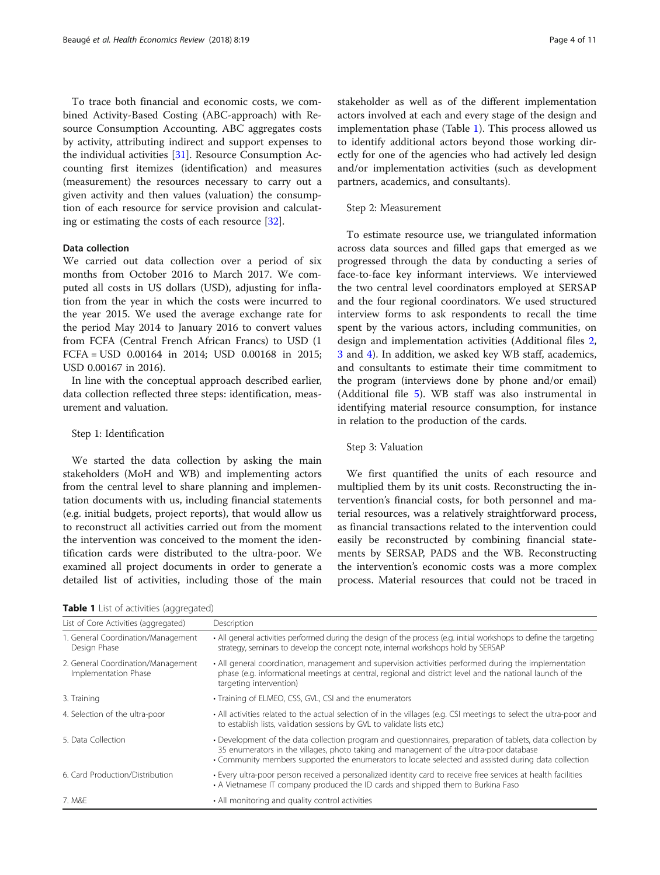To trace both financial and economic costs, we combined Activity-Based Costing (ABC-approach) with Resource Consumption Accounting. ABC aggregates costs by activity, attributing indirect and support expenses to the individual activities [\[31\]](#page-10-0). Resource Consumption Accounting first itemizes (identification) and measures (measurement) the resources necessary to carry out a given activity and then values (valuation) the consumption of each resource for service provision and calculating or estimating the costs of each resource [[32\]](#page-10-0).

# Data collection

We carried out data collection over a period of six months from October 2016 to March 2017. We computed all costs in US dollars (USD), adjusting for inflation from the year in which the costs were incurred to the year 2015. We used the average exchange rate for the period May 2014 to January 2016 to convert values from FCFA (Central French African Francs) to USD (1 FCFA = USD 0.00164 in 2014; USD 0.00168 in 2015; USD 0.00167 in 2016).

In line with the conceptual approach described earlier, data collection reflected three steps: identification, measurement and valuation.

#### Step 1: Identification

We started the data collection by asking the main stakeholders (MoH and WB) and implementing actors from the central level to share planning and implementation documents with us, including financial statements (e.g. initial budgets, project reports), that would allow us to reconstruct all activities carried out from the moment the intervention was conceived to the moment the identification cards were distributed to the ultra-poor. We examined all project documents in order to generate a detailed list of activities, including those of the main

Table 1 List of activities (aggregated)

stakeholder as well as of the different implementation actors involved at each and every stage of the design and implementation phase (Table 1). This process allowed us to identify additional actors beyond those working directly for one of the agencies who had actively led design and/or implementation activities (such as development partners, academics, and consultants).

#### Step 2: Measurement

To estimate resource use, we triangulated information across data sources and filled gaps that emerged as we progressed through the data by conducting a series of face-to-face key informant interviews. We interviewed the two central level coordinators employed at SERSAP and the four regional coordinators. We used structured interview forms to ask respondents to recall the time spent by the various actors, including communities, on design and implementation activities (Additional files [2](#page-9-0), [3](#page-9-0) and [4](#page-9-0)). In addition, we asked key WB staff, academics, and consultants to estimate their time commitment to the program (interviews done by phone and/or email) (Additional file [5\)](#page-9-0). WB staff was also instrumental in identifying material resource consumption, for instance in relation to the production of the cards.

#### Step 3: Valuation

We first quantified the units of each resource and multiplied them by its unit costs. Reconstructing the intervention's financial costs, for both personnel and material resources, was a relatively straightforward process, as financial transactions related to the intervention could easily be reconstructed by combining financial statements by SERSAP, PADS and the WB. Reconstructing the intervention's economic costs was a more complex process. Material resources that could not be traced in

| List of Core Activities (aggregated)                       | Description                                                                                                                                                                                                                                                                                                   |
|------------------------------------------------------------|---------------------------------------------------------------------------------------------------------------------------------------------------------------------------------------------------------------------------------------------------------------------------------------------------------------|
| 1. General Coordination/Management<br>Design Phase         | • All general activities performed during the design of the process (e.g. initial workshops to define the targeting<br>strategy, seminars to develop the concept note, internal workshops hold by SERSAP                                                                                                      |
| 2. General Coordination/Management<br>Implementation Phase | • All general coordination, management and supervision activities performed during the implementation<br>phase (e.g. informational meetings at central, regional and district level and the national launch of the<br>targeting intervention)                                                                 |
| 3. Training                                                | • Training of ELMEO, CSS, GVL, CSI and the enumerators                                                                                                                                                                                                                                                        |
| 4. Selection of the ultra-poor                             | • All activities related to the actual selection of in the villages (e.g. CSI meetings to select the ultra-poor and<br>to establish lists, validation sessions by GVL to validate lists etc.)                                                                                                                 |
| 5. Data Collection                                         | • Development of the data collection program and questionnaires, preparation of tablets, data collection by<br>35 enumerators in the villages, photo taking and management of the ultra-poor database<br>• Community members supported the enumerators to locate selected and assisted during data collection |
| 6. Card Production/Distribution                            | • Every ultra-poor person received a personalized identity card to receive free services at health facilities<br>• A Vietnamese IT company produced the ID cards and shipped them to Burkina Faso                                                                                                             |
| 7. M&E                                                     | • All monitoring and quality control activities                                                                                                                                                                                                                                                               |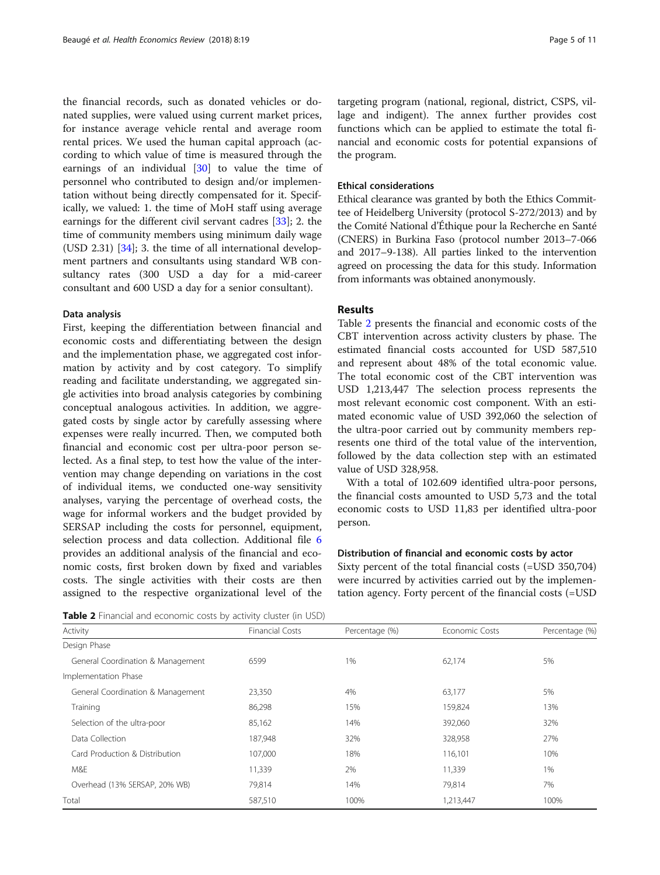the financial records, such as donated vehicles or donated supplies, were valued using current market prices, for instance average vehicle rental and average room rental prices. We used the human capital approach (according to which value of time is measured through the earnings of an individual [\[30](#page-10-0)] to value the time of personnel who contributed to design and/or implementation without being directly compensated for it. Specifically, we valued: 1. the time of MoH staff using average earnings for the different civil servant cadres [[33\]](#page-10-0); 2. the time of community members using minimum daily wage (USD 2.31) [\[34\]](#page-10-0); 3. the time of all international development partners and consultants using standard WB consultancy rates (300 USD a day for a mid-career consultant and 600 USD a day for a senior consultant).

#### Data analysis

First, keeping the differentiation between financial and economic costs and differentiating between the design and the implementation phase, we aggregated cost information by activity and by cost category. To simplify reading and facilitate understanding, we aggregated single activities into broad analysis categories by combining conceptual analogous activities. In addition, we aggregated costs by single actor by carefully assessing where expenses were really incurred. Then, we computed both financial and economic cost per ultra-poor person selected. As a final step, to test how the value of the intervention may change depending on variations in the cost of individual items, we conducted one-way sensitivity analyses, varying the percentage of overhead costs, the wage for informal workers and the budget provided by SERSAP including the costs for personnel, equipment, selection process and data collection. Additional file [6](#page-9-0) provides an additional analysis of the financial and economic costs, first broken down by fixed and variables costs. The single activities with their costs are then assigned to the respective organizational level of the

targeting program (national, regional, district, CSPS, village and indigent). The annex further provides cost functions which can be applied to estimate the total financial and economic costs for potential expansions of the program.

### Ethical considerations

Ethical clearance was granted by both the Ethics Committee of Heidelberg University (protocol S-272/2013) and by the Comité National d'Éthique pour la Recherche en Santé (CNERS) in Burkina Faso (protocol number 2013–7-066 and 2017–9-138). All parties linked to the intervention agreed on processing the data for this study. Information from informants was obtained anonymously.

### Results

Table 2 presents the financial and economic costs of the CBT intervention across activity clusters by phase. The estimated financial costs accounted for USD 587,510 and represent about 48% of the total economic value. The total economic cost of the CBT intervention was USD 1,213,447 The selection process represents the most relevant economic cost component. With an estimated economic value of USD 392,060 the selection of the ultra-poor carried out by community members represents one third of the total value of the intervention, followed by the data collection step with an estimated value of USD 328,958.

With a total of 102.609 identified ultra-poor persons, the financial costs amounted to USD 5,73 and the total economic costs to USD 11,83 per identified ultra-poor person.

#### Distribution of financial and economic costs by actor

Sixty percent of the total financial costs (=USD 350,704) were incurred by activities carried out by the implementation agency. Forty percent of the financial costs (=USD

Table 2 Financial and economic costs by activity cluster (in USD)

| Activity                          | <b>Financial Costs</b> | Percentage (%) | Economic Costs | Percentage (%) |
|-----------------------------------|------------------------|----------------|----------------|----------------|
| Design Phase                      |                        |                |                |                |
| General Coordination & Management | 6599                   | 1%             | 62.174         | 5%             |
| Implementation Phase              |                        |                |                |                |
| General Coordination & Management | 23,350                 | 4%             | 63,177         | 5%             |
| Training                          | 86,298                 | 15%            | 159,824        | 13%            |
| Selection of the ultra-poor       | 85,162                 | 14%            | 392,060        | 32%            |
| Data Collection                   | 187,948                | 32%            | 328,958        | 27%            |
| Card Production & Distribution    | 107,000                | 18%            | 116,101        | 10%            |
| M&E                               | 11,339                 | 2%             | 11,339         | 1%             |
| Overhead (13% SERSAP, 20% WB)     | 79,814                 | 14%            | 79,814         | 7%             |
| Total                             | 587,510                | 100%           | 1,213,447      | 100%           |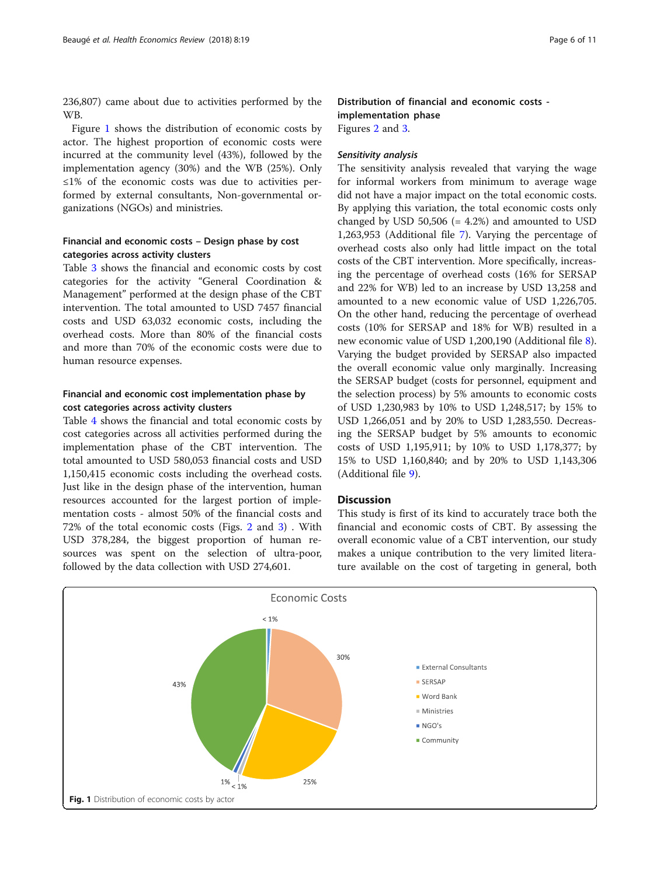236,807) came about due to activities performed by the WB.

Figure 1 shows the distribution of economic costs by actor. The highest proportion of economic costs were incurred at the community level (43%), followed by the implementation agency (30%) and the WB (25%). Only ≤1% of the economic costs was due to activities performed by external consultants, Non-governmental organizations (NGOs) and ministries.

# Financial and economic costs – Design phase by cost categories across activity clusters

Table [3](#page-6-0) shows the financial and economic costs by cost categories for the activity "General Coordination & Management" performed at the design phase of the CBT intervention. The total amounted to USD 7457 financial costs and USD 63,032 economic costs, including the overhead costs. More than 80% of the financial costs and more than 70% of the economic costs were due to human resource expenses.

# Financial and economic cost implementation phase by cost categories across activity clusters

Table [4](#page-7-0) shows the financial and total economic costs by cost categories across all activities performed during the implementation phase of the CBT intervention. The total amounted to USD 580,053 financial costs and USD 1,150,415 economic costs including the overhead costs. Just like in the design phase of the intervention, human resources accounted for the largest portion of implementation costs - almost 50% of the financial costs and 72% of the total economic costs (Figs. [2](#page-8-0) and [3](#page-8-0)) . With USD 378,284, the biggest proportion of human resources was spent on the selection of ultra-poor, followed by the data collection with USD 274,601.

# Sensitivity analysis

The sensitivity analysis revealed that varying the wage for informal workers from minimum to average wage did not have a major impact on the total economic costs. By applying this variation, the total economic costs only changed by USD  $50,506$  (= 4.2%) and amounted to USD 1,263,953 (Additional file [7\)](#page-9-0). Varying the percentage of overhead costs also only had little impact on the total costs of the CBT intervention. More specifically, increasing the percentage of overhead costs (16% for SERSAP and 22% for WB) led to an increase by USD 13,258 and amounted to a new economic value of USD 1,226,705. On the other hand, reducing the percentage of overhead costs (10% for SERSAP and 18% for WB) resulted in a new economic value of USD 1,200,190 (Additional file [8](#page-9-0)). Varying the budget provided by SERSAP also impacted the overall economic value only marginally. Increasing the SERSAP budget (costs for personnel, equipment and the selection process) by 5% amounts to economic costs of USD 1,230,983 by 10% to USD 1,248,517; by 15% to USD 1,266,051 and by 20% to USD 1,283,550. Decreasing the SERSAP budget by 5% amounts to economic costs of USD 1,195,911; by 10% to USD 1,178,377; by 15% to USD 1,160,840; and by 20% to USD 1,143,306 (Additional file [9](#page-9-0)).

# Discussion

This study is first of its kind to accurately trace both the financial and economic costs of CBT. By assessing the overall economic value of a CBT intervention, our study makes a unique contribution to the very limited literature available on the cost of targeting in general, both

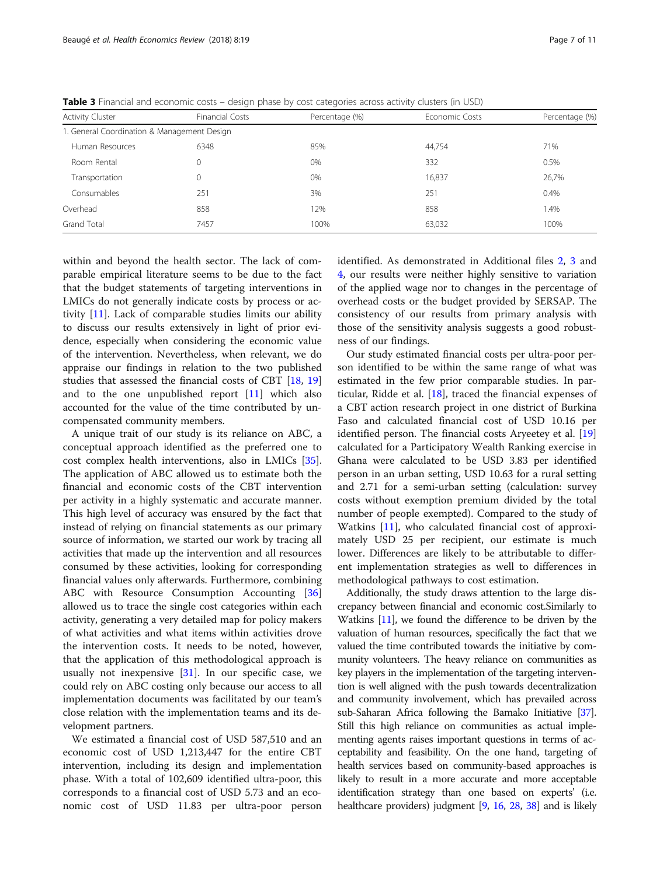| <b>Activity Cluster</b>                     | <b>Financial Costs</b> | Percentage (%) | Economic Costs | Percentage (%) |
|---------------------------------------------|------------------------|----------------|----------------|----------------|
| 1. General Coordination & Management Design |                        |                |                |                |
| Human Resources                             | 6348                   | 85%            | 44,754         | 71%            |
| Room Rental                                 | 0                      | 0%             | 332            | 0.5%           |
| Transportation                              | 0                      | 0%             | 16,837         | 26,7%          |
| Consumables                                 | 251                    | 3%             | 251            | 0.4%           |
| Overhead                                    | 858                    | 12%            | 858            | 1.4%           |
| <b>Grand Total</b>                          | 7457                   | 100%           | 63.032         | 100%           |

<span id="page-6-0"></span>Table 3 Financial and economic costs – design phase by cost categories across activity clusters (in USD)

within and beyond the health sector. The lack of comparable empirical literature seems to be due to the fact that the budget statements of targeting interventions in LMICs do not generally indicate costs by process or activity [[11\]](#page-10-0). Lack of comparable studies limits our ability to discuss our results extensively in light of prior evidence, especially when considering the economic value of the intervention. Nevertheless, when relevant, we do appraise our findings in relation to the two published studies that assessed the financial costs of CBT [[18,](#page-10-0) [19](#page-10-0)] and to the one unpublished report  $[11]$  $[11]$  $[11]$  which also accounted for the value of the time contributed by uncompensated community members.

A unique trait of our study is its reliance on ABC, a conceptual approach identified as the preferred one to cost complex health interventions, also in LMICs [\[35](#page-10-0)]. The application of ABC allowed us to estimate both the financial and economic costs of the CBT intervention per activity in a highly systematic and accurate manner. This high level of accuracy was ensured by the fact that instead of relying on financial statements as our primary source of information, we started our work by tracing all activities that made up the intervention and all resources consumed by these activities, looking for corresponding financial values only afterwards. Furthermore, combining ABC with Resource Consumption Accounting [[36](#page-10-0)] allowed us to trace the single cost categories within each activity, generating a very detailed map for policy makers of what activities and what items within activities drove the intervention costs. It needs to be noted, however, that the application of this methodological approach is usually not inexpensive  $[31]$  $[31]$ . In our specific case, we could rely on ABC costing only because our access to all implementation documents was facilitated by our team's close relation with the implementation teams and its development partners.

We estimated a financial cost of USD 587,510 and an economic cost of USD 1,213,447 for the entire CBT intervention, including its design and implementation phase. With a total of 102,609 identified ultra-poor, this corresponds to a financial cost of USD 5.73 and an economic cost of USD 11.83 per ultra-poor person

identified. As demonstrated in Additional files [2](#page-9-0), [3](#page-9-0) and [4,](#page-9-0) our results were neither highly sensitive to variation of the applied wage nor to changes in the percentage of overhead costs or the budget provided by SERSAP. The consistency of our results from primary analysis with those of the sensitivity analysis suggests a good robustness of our findings.

Our study estimated financial costs per ultra-poor person identified to be within the same range of what was estimated in the few prior comparable studies. In particular, Ridde et al.  $[18]$  $[18]$ , traced the financial expenses of a CBT action research project in one district of Burkina Faso and calculated financial cost of USD 10.16 per identified person. The financial costs Aryeetey et al. [[19](#page-10-0)] calculated for a Participatory Wealth Ranking exercise in Ghana were calculated to be USD 3.83 per identified person in an urban setting, USD 10.63 for a rural setting and 2.71 for a semi-urban setting (calculation: survey costs without exemption premium divided by the total number of people exempted). Compared to the study of Watkins [\[11](#page-10-0)], who calculated financial cost of approximately USD 25 per recipient, our estimate is much lower. Differences are likely to be attributable to different implementation strategies as well to differences in methodological pathways to cost estimation.

Additionally, the study draws attention to the large discrepancy between financial and economic cost.Similarly to Watkins [\[11\]](#page-10-0), we found the difference to be driven by the valuation of human resources, specifically the fact that we valued the time contributed towards the initiative by community volunteers. The heavy reliance on communities as key players in the implementation of the targeting intervention is well aligned with the push towards decentralization and community involvement, which has prevailed across sub-Saharan Africa following the Bamako Initiative [\[37](#page-10-0)]. Still this high reliance on communities as actual implementing agents raises important questions in terms of acceptability and feasibility. On the one hand, targeting of health services based on community-based approaches is likely to result in a more accurate and more acceptable identification strategy than one based on experts' (i.e. healthcare providers) judgment [\[9,](#page-10-0) [16,](#page-10-0) [28](#page-10-0), [38](#page-10-0)] and is likely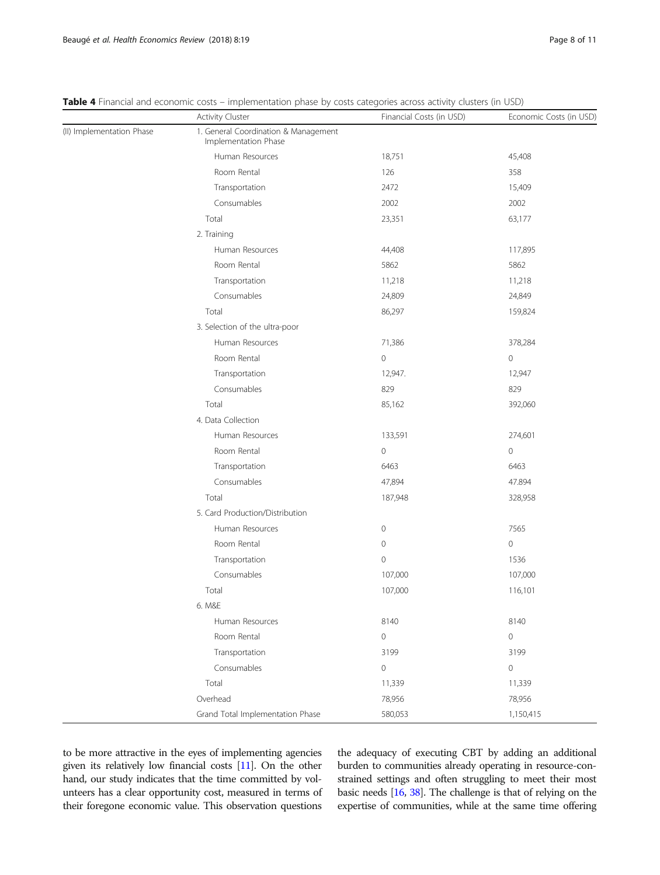|                           | <b>Activity Cluster</b>                                      | Financial Costs (in USD) | Economic Costs (in USD) |
|---------------------------|--------------------------------------------------------------|--------------------------|-------------------------|
| (II) Implementation Phase | 1. General Coordination & Management<br>Implementation Phase |                          |                         |
|                           | Human Resources                                              | 18,751                   | 45,408                  |
|                           | Room Rental                                                  | 126                      | 358                     |
|                           | Transportation                                               | 2472                     | 15,409                  |
|                           | Consumables                                                  | 2002                     | 2002                    |
|                           | Total                                                        | 23,351                   | 63,177                  |
|                           | 2. Training                                                  |                          |                         |
|                           | Human Resources                                              | 44,408                   | 117,895                 |
|                           | Room Rental                                                  | 5862                     | 5862                    |
|                           | Transportation                                               | 11,218                   | 11,218                  |
|                           | Consumables                                                  | 24,809                   | 24,849                  |
|                           | Total                                                        | 86,297                   | 159,824                 |
|                           | 3. Selection of the ultra-poor                               |                          |                         |
|                           | Human Resources                                              | 71,386                   | 378,284                 |
|                           | Room Rental                                                  | 0                        | 0                       |
|                           | Transportation                                               | 12,947.                  | 12,947                  |
|                           | Consumables                                                  | 829                      | 829                     |
|                           | Total                                                        | 85,162                   | 392,060                 |
|                           | 4. Data Collection                                           |                          |                         |
|                           | Human Resources                                              | 133,591                  | 274,601                 |
|                           | Room Rental                                                  | 0                        | $\mathbf 0$             |
|                           | Transportation                                               | 6463                     | 6463                    |
|                           | Consumables                                                  | 47,894                   | 47.894                  |
|                           | Total                                                        | 187,948                  | 328,958                 |
|                           | 5. Card Production/Distribution                              |                          |                         |
|                           | Human Resources                                              | $\mathbf 0$              | 7565                    |
|                           | Room Rental                                                  | 0                        | $\mathbf 0$             |
|                           | Transportation                                               | 0                        | 1536                    |
|                           | Consumables                                                  | 107,000                  | 107,000                 |
|                           | Total                                                        | 107,000                  | 116,101                 |
|                           | 6. M&E                                                       |                          |                         |
|                           | Human Resources                                              | 8140                     | 8140                    |
|                           | Room Rental                                                  | $\mathbf 0$              | $\mathbf 0$             |
|                           | Transportation                                               | 3199                     | 3199                    |
|                           | Consumables                                                  | $\mathbf 0$              | $\mathsf{O}\xspace$     |
|                           | Total                                                        | 11,339                   | 11,339                  |
|                           | Overhead                                                     | 78,956                   | 78,956                  |
|                           | Grand Total Implementation Phase                             | 580,053                  | 1,150,415               |

<span id="page-7-0"></span>Table 4 Financial and economic costs – implementation phase by costs categories across activity clusters (in USD)

to be more attractive in the eyes of implementing agencies given its relatively low financial costs [\[11](#page-10-0)]. On the other hand, our study indicates that the time committed by volunteers has a clear opportunity cost, measured in terms of their foregone economic value. This observation questions

the adequacy of executing CBT by adding an additional burden to communities already operating in resource-constrained settings and often struggling to meet their most basic needs [\[16,](#page-10-0) [38](#page-10-0)]. The challenge is that of relying on the expertise of communities, while at the same time offering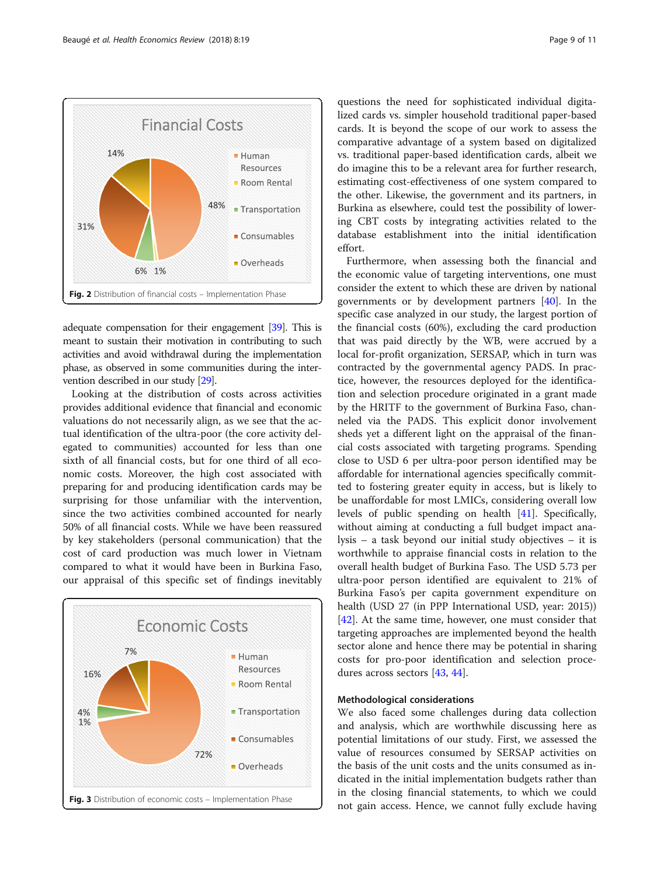<span id="page-8-0"></span>

adequate compensation for their engagement [\[39\]](#page-10-0). This is meant to sustain their motivation in contributing to such activities and avoid withdrawal during the implementation phase, as observed in some communities during the intervention described in our study [\[29\]](#page-10-0).

Looking at the distribution of costs across activities provides additional evidence that financial and economic valuations do not necessarily align, as we see that the actual identification of the ultra-poor (the core activity delegated to communities) accounted for less than one sixth of all financial costs, but for one third of all economic costs. Moreover, the high cost associated with preparing for and producing identification cards may be surprising for those unfamiliar with the intervention, since the two activities combined accounted for nearly 50% of all financial costs. While we have been reassured by key stakeholders (personal communication) that the cost of card production was much lower in Vietnam compared to what it would have been in Burkina Faso, our appraisal of this specific set of findings inevitably



questions the need for sophisticated individual digitalized cards vs. simpler household traditional paper-based cards. It is beyond the scope of our work to assess the comparative advantage of a system based on digitalized vs. traditional paper-based identification cards, albeit we do imagine this to be a relevant area for further research, estimating cost-effectiveness of one system compared to the other. Likewise, the government and its partners, in Burkina as elsewhere, could test the possibility of lowering CBT costs by integrating activities related to the database establishment into the initial identification effort.

Furthermore, when assessing both the financial and the economic value of targeting interventions, one must consider the extent to which these are driven by national governments or by development partners [\[40](#page-10-0)]. In the specific case analyzed in our study, the largest portion of the financial costs (60%), excluding the card production that was paid directly by the WB, were accrued by a local for-profit organization, SERSAP, which in turn was contracted by the governmental agency PADS. In practice, however, the resources deployed for the identification and selection procedure originated in a grant made by the HRITF to the government of Burkina Faso, channeled via the PADS. This explicit donor involvement sheds yet a different light on the appraisal of the financial costs associated with targeting programs. Spending close to USD 6 per ultra-poor person identified may be affordable for international agencies specifically committed to fostering greater equity in access, but is likely to be unaffordable for most LMICs, considering overall low levels of public spending on health [\[41\]](#page-10-0). Specifically, without aiming at conducting a full budget impact analysis – a task beyond our initial study objectives – it is worthwhile to appraise financial costs in relation to the overall health budget of Burkina Faso. The USD 5.73 per ultra-poor person identified are equivalent to 21% of Burkina Faso's per capita government expenditure on health (USD 27 (in PPP International USD, year: 2015)) [[42\]](#page-10-0). At the same time, however, one must consider that targeting approaches are implemented beyond the health sector alone and hence there may be potential in sharing costs for pro-poor identification and selection procedures across sectors [[43,](#page-10-0) [44](#page-10-0)].

#### Methodological considerations

We also faced some challenges during data collection and analysis, which are worthwhile discussing here as potential limitations of our study. First, we assessed the value of resources consumed by SERSAP activities on the basis of the unit costs and the units consumed as indicated in the initial implementation budgets rather than in the closing financial statements, to which we could not gain access. Hence, we cannot fully exclude having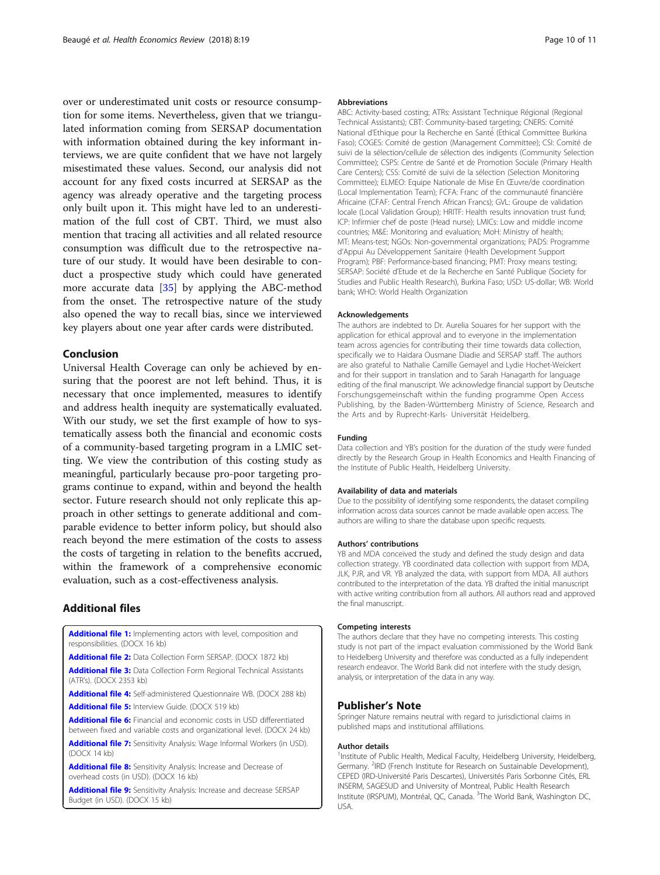<span id="page-9-0"></span>over or underestimated unit costs or resource consumption for some items. Nevertheless, given that we triangulated information coming from SERSAP documentation with information obtained during the key informant interviews, we are quite confident that we have not largely misestimated these values. Second, our analysis did not account for any fixed costs incurred at SERSAP as the agency was already operative and the targeting process only built upon it. This might have led to an underestimation of the full cost of CBT. Third, we must also mention that tracing all activities and all related resource consumption was difficult due to the retrospective nature of our study. It would have been desirable to conduct a prospective study which could have generated more accurate data [[35\]](#page-10-0) by applying the ABC-method from the onset. The retrospective nature of the study also opened the way to recall bias, since we interviewed key players about one year after cards were distributed.

#### Conclusion

Universal Health Coverage can only be achieved by ensuring that the poorest are not left behind. Thus, it is necessary that once implemented, measures to identify and address health inequity are systematically evaluated. With our study, we set the first example of how to systematically assess both the financial and economic costs of a community-based targeting program in a LMIC setting. We view the contribution of this costing study as meaningful, particularly because pro-poor targeting programs continue to expand, within and beyond the health sector. Future research should not only replicate this approach in other settings to generate additional and comparable evidence to better inform policy, but should also reach beyond the mere estimation of the costs to assess the costs of targeting in relation to the benefits accrued, within the framework of a comprehensive economic evaluation, such as a cost-effectiveness analysis.

# Additional files

[Additional file 1:](https://doi.org/10.1186/s13561-018-0205-7) Implementing actors with level, composition and responsibilities. (DOCX 16 kb)

[Additional file 2:](https://doi.org/10.1186/s13561-018-0205-7) Data Collection Form SERSAP. (DOCX 1872 kb) [Additional file 3:](https://doi.org/10.1186/s13561-018-0205-7) Data Collection Form Regional Technical Assistants (ATR's). (DOCX 2353 kb)

[Additional file 4:](https://doi.org/10.1186/s13561-018-0205-7) Self-administered Questionnaire WB. (DOCX 288 kb) [Additional file 5:](https://doi.org/10.1186/s13561-018-0205-7) Interview Guide. (DOCX 519 kb)

[Additional file 6:](https://doi.org/10.1186/s13561-018-0205-7) Financial and economic costs in USD differentiated between fixed and variable costs and organizational level. (DOCX 24 kb)

[Additional file 7:](https://doi.org/10.1186/s13561-018-0205-7) Sensitivity Analysis: Wage Informal Workers (in USD). (DOCX 14 kb)

[Additional file 8:](https://doi.org/10.1186/s13561-018-0205-7) Sensitivity Analysis: Increase and Decrease of overhead costs (in USD). (DOCX 16 kb)

[Additional file 9:](https://doi.org/10.1186/s13561-018-0205-7) Sensitivity Analysis: Increase and decrease SERSAP Budget (in USD). (DOCX 15 kb)

#### Abbreviations

ABC: Activity-based costing; ATRs: Assistant Technique Régional (Regional Technical Assistants); CBT: Community-based targeting; CNERS: Comité National d'Ethique pour la Recherche en Santé́ (Ethical Committee Burkina Faso); COGES: Comité de gestion (Management Committee); CSI: Comité de suivi de la sélection/cellule de sélection des indigents (Community Selection Committee); CSPS: Centre de Santé et de Promotion Sociale (Primary Health Care Centers); CSS: Comité de suivi de la sélection (Selection Monitoring Committee); ELMEO: Equipe Nationale de Mise En Œuvre/de coordination (Local Implementation Team); FCFA: Franc of the communauté financière Africaine (CFAF: Central French African Francs); GVL: Groupe de validation locale (Local Validation Group); HRITF: Health results innovation trust fund; ICP: Infirmier chef de poste (Head nurse); LMICs: Low and middle income countries; M&E: Monitoring and evaluation; MoH: Ministry of health; MT: Means-test; NGOs: Non-governmental organizations; PADS: Programme d'Appui Au Développement Sanitaire (Health Development Support Program); PBF: Performance-based financing; PMT: Proxy means testing; SERSAP: Société d'Etude et de la Recherche en Santé Publique (Society for Studies and Public Health Research), Burkina Faso; USD: US-dollar; WB: World bank; WHO: World Health Organization

#### Acknowledgements

The authors are indebted to Dr. Aurelia Souares for her support with the application for ethical approval and to everyone in the implementation team across agencies for contributing their time towards data collection, specifically we to Haidara Ousmane Diadie and SERSAP staff. The authors are also grateful to Nathalie Camille Gemayel and Lydie Hochet-Weickert and for their support in translation and to Sarah Hanagarth for language editing of the final manuscript. We acknowledge financial support by Deutsche Forschungsgemeinschaft within the funding programme Open Access Publishing, by the Baden-Württemberg Ministry of Science, Research and the Arts and by Ruprecht-Karls- Universität Heidelberg.

#### Funding

Data collection and YB's position for the duration of the study were funded directly by the Research Group in Health Economics and Health Financing of the Institute of Public Health, Heidelberg University.

#### Availability of data and materials

Due to the possibility of identifying some respondents, the dataset compiling information across data sources cannot be made available open access. The authors are willing to share the database upon specific requests.

#### Authors' contributions

YB and MDA conceived the study and defined the study design and data collection strategy. YB coordinated data collection with support from MDA, JLK, PJR, and VR. YB analyzed the data, with support from MDA. All authors contributed to the interpretation of the data. YB drafted the initial manuscript with active writing contribution from all authors. All authors read and approved the final manuscript.

#### Competing interests

The authors declare that they have no competing interests. This costing study is not part of the impact evaluation commissioned by the World Bank to Heidelberg University and therefore was conducted as a fully independent research endeavor. The World Bank did not interfere with the study design, analysis, or interpretation of the data in any way.

#### Publisher's Note

Springer Nature remains neutral with regard to jurisdictional claims in published maps and institutional affiliations.

#### Author details

<sup>1</sup>Institute of Public Health, Medical Faculty, Heidelberg University, Heidelberg Germany. <sup>2</sup>IRD (French Institute for Research on Sustainable Development), CEPED (IRD-Université Paris Descartes), Universités Paris Sorbonne Cités, ERL INSERM, SAGESUD and University of Montreal, Public Health Research Institute (IRSPUM), Montréal, QC, Canada. <sup>3</sup>The World Bank, Washington DC USA.